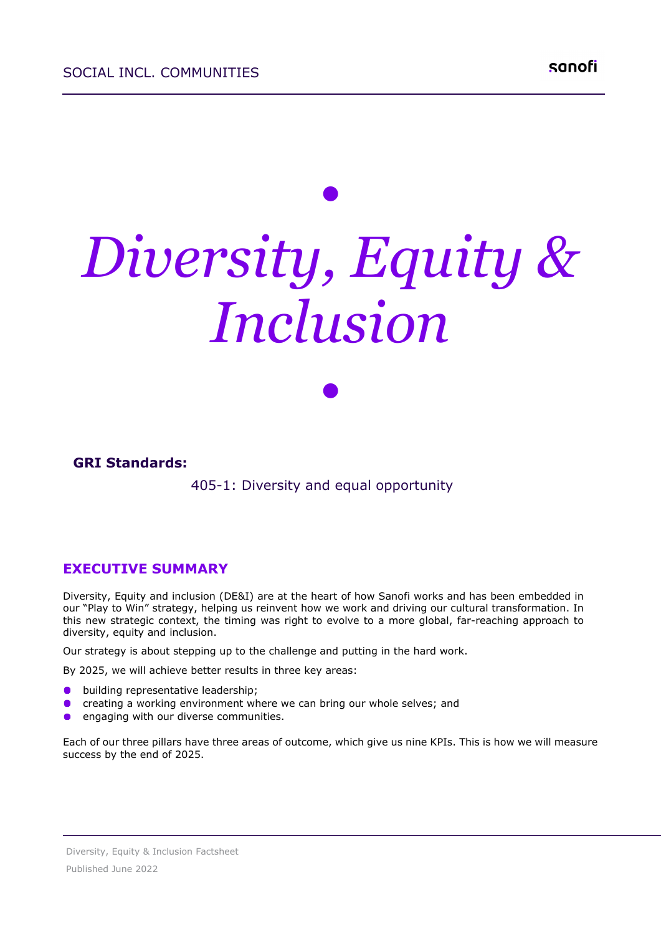# *• Diversity, Equity & Inclusion*

*•*

**GRI Standards:**

405-1: Diversity and equal opportunity

#### **EXECUTIVE SUMMARY**

Diversity, Equity and inclusion (DE&I) are at the heart of how Sanofi works and has been embedded in our "Play to Win" strategy, helping us reinvent how we work and driving our cultural transformation. In this new strategic context, the timing was right to evolve to a more global, far-reaching approach to diversity, equity and inclusion.

Our strategy is about stepping up to the challenge and putting in the hard work.

By 2025, we will achieve better results in three key areas:

- building representative leadership;
- $\bullet$ creating a working environment where we can bring our whole selves; and
- engaging with our diverse communities.

Each of our three pillars have three areas of outcome, which give us nine KPIs. This is how we will measure success by the end of 2025.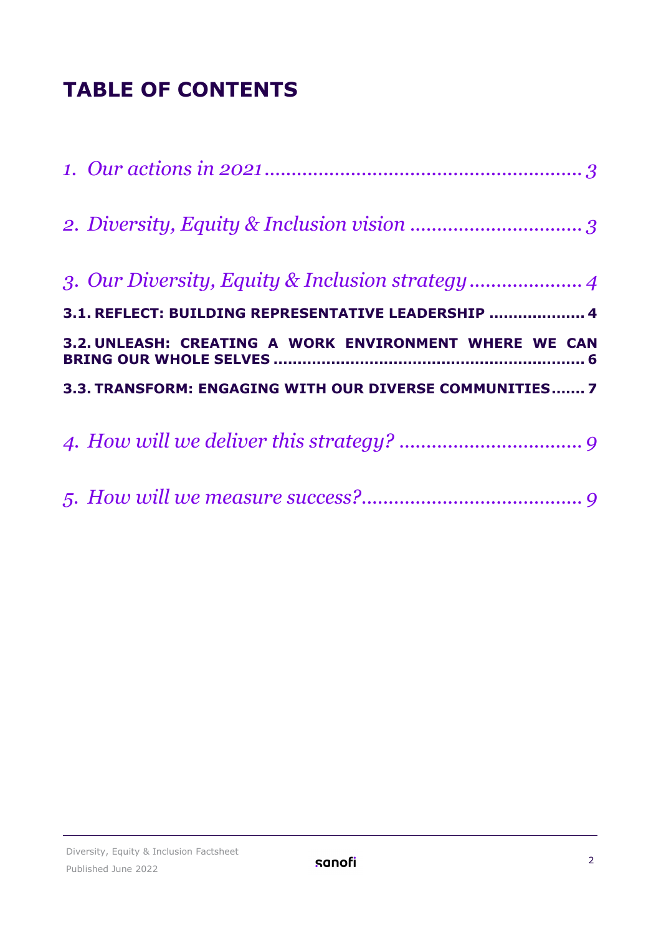## **TABLE OF CONTENTS**

| 3.1. REFLECT: BUILDING REPRESENTATIVE LEADERSHIP  4     |
|---------------------------------------------------------|
|                                                         |
| 3.2. UNLEASH: CREATING A WORK ENVIRONMENT WHERE WE CAN  |
| 3.3. TRANSFORM: ENGAGING WITH OUR DIVERSE COMMUNITIES 7 |
|                                                         |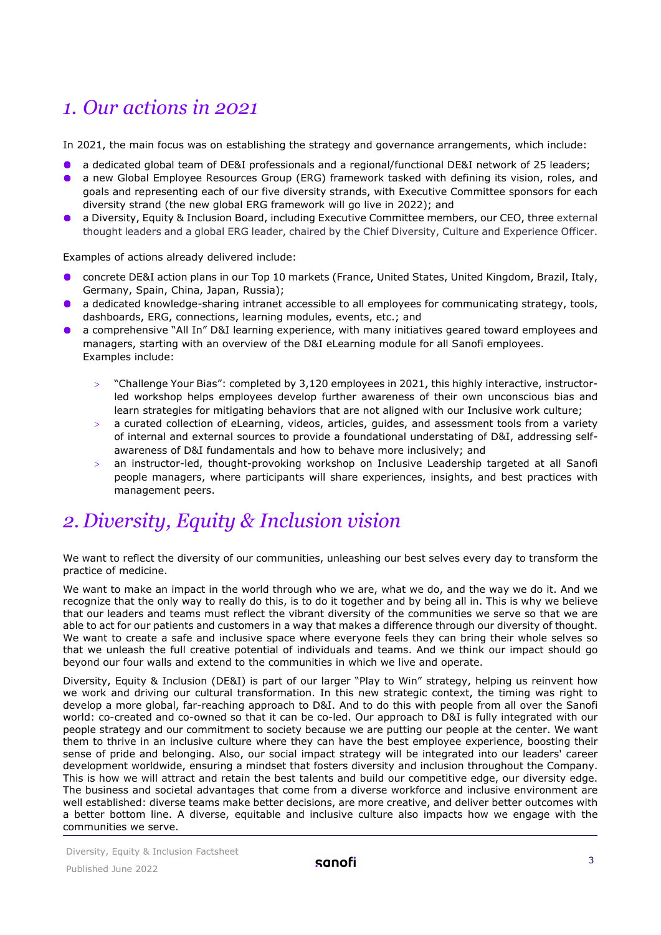## <span id="page-2-0"></span>*1. Our actions in 2021*

In 2021, the main focus was on establishing the strategy and governance arrangements, which include:

- a dedicated global team of DE&I professionals and a regional/functional DE&I network of 25 leaders;
- a new Global Employee Resources Group (ERG) framework tasked with defining its vision, roles, and goals and representing each of our five diversity strands, with Executive Committee sponsors for each diversity strand (the new global ERG framework will go live in 2022); and
- a Diversity, Equity & Inclusion Board, including Executive Committee members, our CEO, three external thought leaders and a global ERG leader, chaired by the Chief Diversity, Culture and Experience Officer.

Examples of actions already delivered include:

- concrete DE&I action plans in our Top 10 markets (France, United States, United Kingdom, Brazil, Italy, Germany, Spain, China, Japan, Russia);
- a dedicated knowledge-sharing intranet accessible to all employees for communicating strategy, tools, dashboards, ERG, connections, learning modules, events, etc.; and
- a comprehensive "All In" D&I learning experience, with many initiatives geared toward employees and managers, starting with an overview of the D&I eLearning module for all Sanofi employees. Examples include:
	- > "Challenge Your Bias": completed by 3,120 employees in 2021, this highly interactive, instructorled workshop helps employees develop further awareness of their own unconscious bias and learn strategies for mitigating behaviors that are not aligned with our Inclusive work culture;
	- $>$  a curated collection of eLearning, videos, articles, guides, and assessment tools from a variety of internal and external sources to provide a foundational understating of D&I, addressing selfawareness of D&I fundamentals and how to behave more inclusively; and
	- an instructor-led, thought-provoking workshop on Inclusive Leadership targeted at all Sanofi people managers, where participants will share experiences, insights, and best practices with management peers.

## <span id="page-2-1"></span>*2. Diversity, Equity & Inclusion vision*

We want to reflect the diversity of our communities, unleashing our best selves every day to transform the practice of medicine.

We want to make an impact in the world through who we are, what we do, and the way we do it. And we recognize that the only way to really do this, is to do it together and by being all in. This is why we believe that our leaders and teams must reflect the vibrant diversity of the communities we serve so that we are able to act for our patients and customers in a way that makes a difference through our diversity of thought. We want to create a safe and inclusive space where everyone feels they can bring their whole selves so that we unleash the full creative potential of individuals and teams. And we think our impact should go beyond our four walls and extend to the communities in which we live and operate.

Diversity, Equity & Inclusion (DE&I) is part of our larger "Play to Win" strategy, helping us reinvent how we work and driving our cultural transformation. In this new strategic context, the timing was right to develop a more global, far-reaching approach to D&I. And to do this with people from all over the Sanofi world: co-created and co-owned so that it can be co-led. Our approach to D&I is fully integrated with our people strategy and our commitment to society because we are putting our people at the center. We want them to thrive in an inclusive culture where they can have the best employee experience, boosting their sense of pride and belonging. Also, our social impact strategy will be integrated into our leaders' career development worldwide, ensuring a mindset that fosters diversity and inclusion throughout the Company. This is how we will attract and retain the best talents and build our competitive edge, our diversity edge. The business and societal advantages that come from a diverse workforce and inclusive environment are well established: diverse teams make better decisions, are more creative, and deliver better outcomes with a better bottom line. A diverse, equitable and inclusive culture also impacts how we engage with the communities we serve.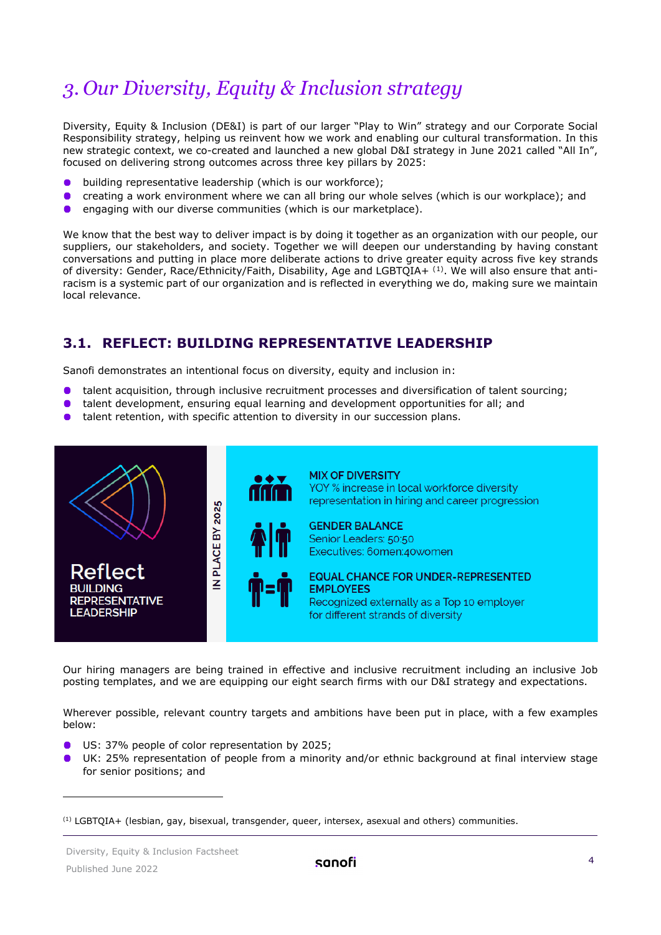## <span id="page-3-0"></span>*3. Our Diversity, Equity & Inclusion strategy*

Diversity, Equity & Inclusion (DE&I) is part of our larger "Play to Win" strategy and our Corporate Social Responsibility strategy, helping us reinvent how we work and enabling our cultural transformation. In this new strategic context, we co-created and launched a new global D&I strategy in June 2021 called "All In", focused on delivering strong outcomes across three key pillars by 2025:

- building representative leadership (which is our workforce);  $\bullet$
- creating a work environment where we can all bring our whole selves (which is our workplace); and  $\bullet$
- engaging with our diverse communities (which is our marketplace).

We know that the best way to deliver impact is by doing it together as an organization with our people, our suppliers, our stakeholders, and society. Together we will deepen our understanding by having constant conversations and putting in place more deliberate actions to drive greater equity across five key strands of diversity: Gender, Race/Ethnicity/Faith, Disability, Age and LGBTQIA+  $^{\rm (1)}$  $^{\rm (1)}$  $^{\rm (1)}$ . We will also ensure that antiracism is a systemic part of our organization and is reflected in everything we do, making sure we maintain local relevance.

### <span id="page-3-1"></span>**3.1. REFLECT: BUILDING REPRESENTATIVE LEADERSHIP**

Sanofi demonstrates an intentional focus on diversity, equity and inclusion in:

- talent acquisition, through inclusive recruitment processes and diversification of talent sourcing;
- talent development, ensuring equal learning and development opportunities for all; and  $\bullet$
- $\bullet$ talent retention, with specific attention to diversity in our succession plans.



Our hiring managers are being trained in effective and inclusive recruitment including an inclusive Job posting templates, and we are equipping our eight search firms with our D&I strategy and expectations.

Wherever possible, relevant country targets and ambitions have been put in place, with a few examples below:

- US: 37% people of color representation by 2025;
- UK: 25% representation of people from a minority and/or ethnic background at final interview stage for senior positions; and

<span id="page-3-2"></span><sup>(1)</sup> LGBTQIA+ (lesbian, gay, bisexual, transgender, queer, intersex, asexual and others) communities.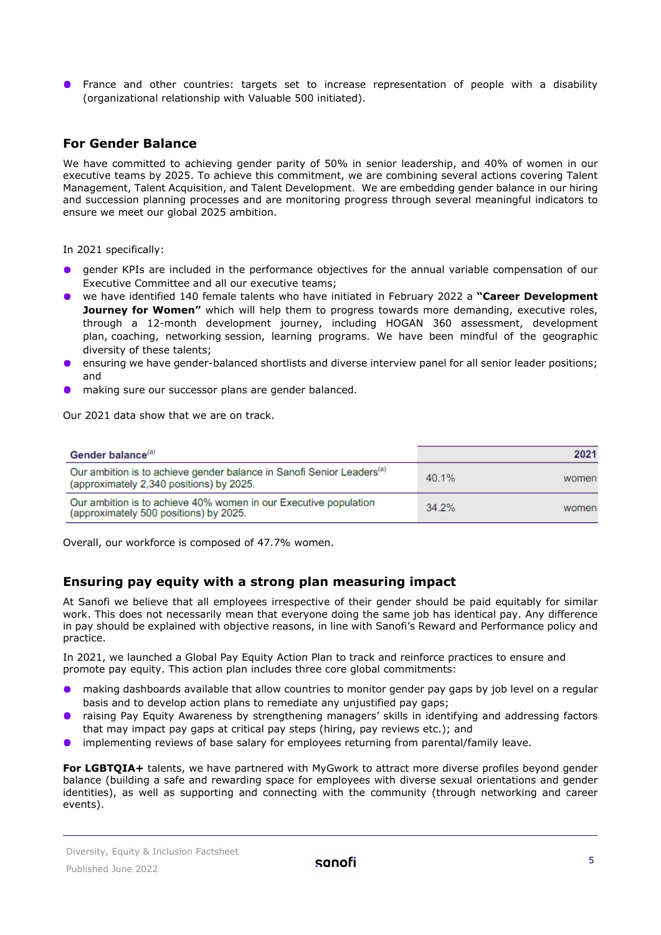**•** France and other countries: targets set to increase representation of people with a disability (organizational relationship with Valuable 500 initiated).

#### **For Gender Balance**

We have committed to achieving gender parity of 50% in senior leadership, and 40% of women in our executive teams by 2025. To achieve this commitment, we are combining several actions covering Talent Management, Talent Acquisition, and Talent Development. We are embedding gender balance in our hiring and succession planning processes and are monitoring progress through several meaningful indicators to ensure we meet our global 2025 ambition.

In 2021 specifically:

- $\bullet$ gender KPIs are included in the performance objectives for the annual variable compensation of our Executive Committee and all our executive teams;
- we have identified 140 female talents who have initiated in February 2022 a **"Career Development Journey for Women"** which will help them to progress towards more demanding, executive roles, through a 12-month development journey, including HOGAN 360 assessment, development plan, coaching, networking session, learning programs. We have been mindful of the geographic diversity of these talents;
- ensuring we have gender-balanced shortlists and diverse interview panel for all senior leader positions; and
- making sure our successor plans are gender balanced.

Our 2021 data show that we are on track.

| Gender balance <sup>(a)</sup>                                                     | 2021  |
|-----------------------------------------------------------------------------------|-------|
| Our ambition is to achieve gender balance in Sanofi Senior Leaders <sup>(a)</sup> | 40.1% |
| (approximately 2,340 positions) by 2025.                                          | women |
| Our ambition is to achieve 40% women in our Executive population                  | 34.2% |
| (approximately 500 positions) by 2025.                                            | women |

Overall, our workforce is composed of 47.7% women.

#### **Ensuring pay equity with a strong plan measuring impact**

At Sanofi we believe that all employees irrespective of their gender should be paid equitably for similar work. This does not necessarily mean that everyone doing the same job has identical pay. Any difference in pay should be explained with objective reasons, in line with Sanofi's Reward and Performance policy and practice.

In 2021, we launched a Global Pay Equity Action Plan to track and reinforce practices to ensure and promote pay equity. This action plan includes three core global commitments:

- making dashboards available that allow countries to monitor gender pay gaps by job level on a regular basis and to develop action plans to remediate any unjustified pay gaps;
- raising Pay Equity Awareness by strengthening managers' skills in identifying and addressing factors that may impact pay gaps at critical pay steps (hiring, pay reviews etc.); and
- implementing reviews of base salary for employees returning from parental/family leave.

**For LGBTQIA+** talents, we have partnered with MyGwork to attract more diverse profiles beyond gender balance (building a safe and rewarding space for employees with diverse sexual orientations and gender identities), as well as supporting and connecting with the community (through networking and career events).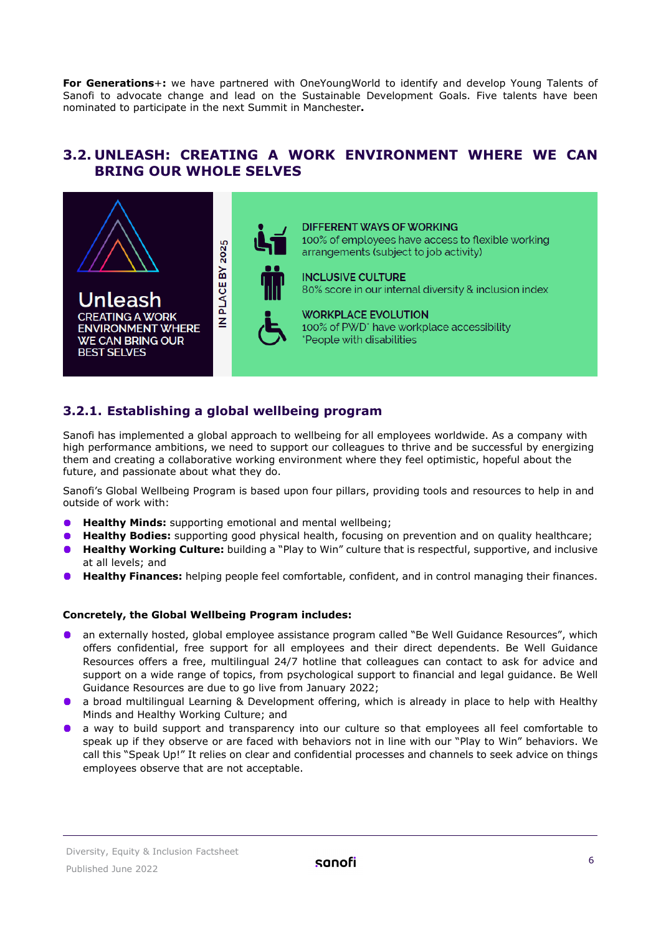**For Generations**+**:** we have partnered with OneYoungWorld to identify and develop Young Talents of Sanofi to advocate change and lead on the Sustainable Development Goals. Five talents have been nominated to participate in the next Summit in Manchester**.**

#### <span id="page-5-0"></span>**3.2. UNLEASH: CREATING A WORK ENVIRONMENT WHERE WE CAN BRING OUR WHOLE SELVES**



#### **3.2.1. Establishing a global wellbeing program**

Sanofi has implemented a global approach to wellbeing for all employees worldwide. As a company with high performance ambitions, we need to support our colleagues to thrive and be successful by energizing them and creating a collaborative working environment where they feel optimistic, hopeful about the future, and passionate about what they do.

Sanofi's Global Wellbeing Program is based upon four pillars, providing tools and resources to help in and outside of work with:

- **Healthy Minds:** supporting emotional and mental wellbeing;
- **Healthy Bodies:** supporting good physical health, focusing on prevention and on quality healthcare;
- **Healthy Working Culture:** building a "Play to Win" culture that is respectful, supportive, and inclusive  $\bullet$ at all levels; and
- **Healthy Finances:** helping people feel comfortable, confident, and in control managing their finances.

#### **Concretely, the Global Wellbeing Program includes:**

- **•** an externally hosted, global employee assistance program called "Be Well Guidance Resources", which offers confidential, free support for all employees and their direct dependents. Be Well Guidance Resources offers a free, multilingual 24/7 hotline that colleagues can contact to ask for advice and support on a wide range of topics, from psychological support to financial and legal guidance. Be Well Guidance Resources are due to go live from January 2022;
- a broad multilingual Learning & Development offering, which is already in place to help with Healthy Minds and Healthy Working Culture; and
- **a** a way to build support and transparency into our culture so that employees all feel comfortable to speak up if they observe or are faced with behaviors not in line with our "Play to Win" behaviors. We call this "Speak Up!" It relies on clear and confidential processes and channels to seek advice on things employees observe that are not acceptable.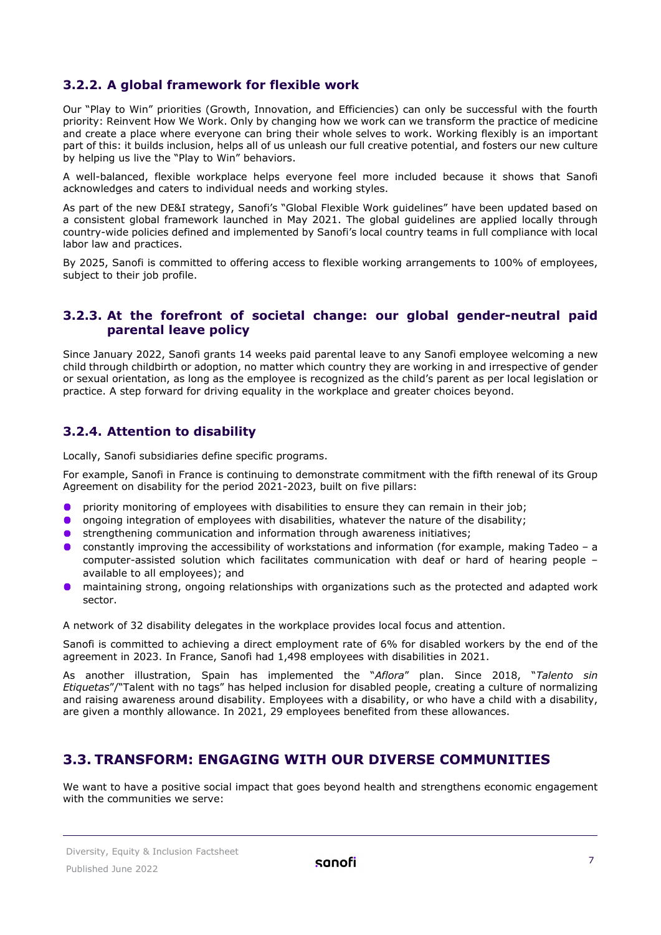#### **3.2.2. A global framework for flexible work**

Our "Play to Win" priorities (Growth, Innovation, and Efficiencies) can only be successful with the fourth priority: Reinvent How We Work. Only by changing how we work can we transform the practice of medicine and create a place where everyone can bring their whole selves to work. Working flexibly is an important part of this: it builds inclusion, helps all of us unleash our full creative potential, and fosters our new culture by helping us live the "Play to Win" behaviors.

A well-balanced, flexible workplace helps everyone feel more included because it shows that Sanofi acknowledges and caters to individual needs and working styles.

As part of the new DE&I strategy, Sanofi's "Global Flexible Work guidelines" have been updated based on a consistent global framework launched in May 2021. The global guidelines are applied locally through country-wide policies defined and implemented by Sanofi's local country teams in full compliance with local labor law and practices.

By 2025, Sanofi is committed to offering access to flexible working arrangements to 100% of employees, subject to their job profile.

#### **3.2.3. At the forefront of societal change: our global gender-neutral paid parental leave policy**

Since January 2022, Sanofi grants 14 weeks paid parental leave to any Sanofi employee welcoming a new child through childbirth or adoption, no matter which country they are working in and irrespective of gender or sexual orientation, as long as the employee is recognized as the child's parent as per local legislation or practice. A step forward for driving equality in the workplace and greater choices beyond.

#### **3.2.4. Attention to disability**

Locally, Sanofi subsidiaries define specific programs.

For example, Sanofi in France is continuing to demonstrate commitment with the fifth renewal of its Group Agreement on disability for the period 2021-2023, built on five pillars:

- priority monitoring of employees with disabilities to ensure they can remain in their job;
- **O** ongoing integration of employees with disabilities, whatever the nature of the disability;
- strengthening communication and information through awareness initiatives;
- constantly improving the accessibility of workstations and information (for example, making Tadeo a computer-assisted solution which facilitates communication with deaf or hard of hearing people – available to all employees); and
- maintaining strong, ongoing relationships with organizations such as the protected and adapted work  $\bullet$  . sector.

A network of 32 disability delegates in the workplace provides local focus and attention.

Sanofi is committed to achieving a direct employment rate of 6% for disabled workers by the end of the agreement in 2023. In France, Sanofi had 1,498 employees with disabilities in 2021.

As another illustration, Spain has implemented the "*Aflora*" plan. Since 2018, "*Talento sin Etiquetas*"/"Talent with no tags" has helped inclusion for disabled people, creating a culture of normalizing and raising awareness around disability. Employees with a disability, or who have a child with a disability, are given a monthly allowance. In 2021, 29 employees benefited from these allowances.

#### <span id="page-6-0"></span>**3.3. TRANSFORM: ENGAGING WITH OUR DIVERSE COMMUNITIES**

We want to have a positive social impact that goes beyond health and strengthens economic engagement with the communities we serve: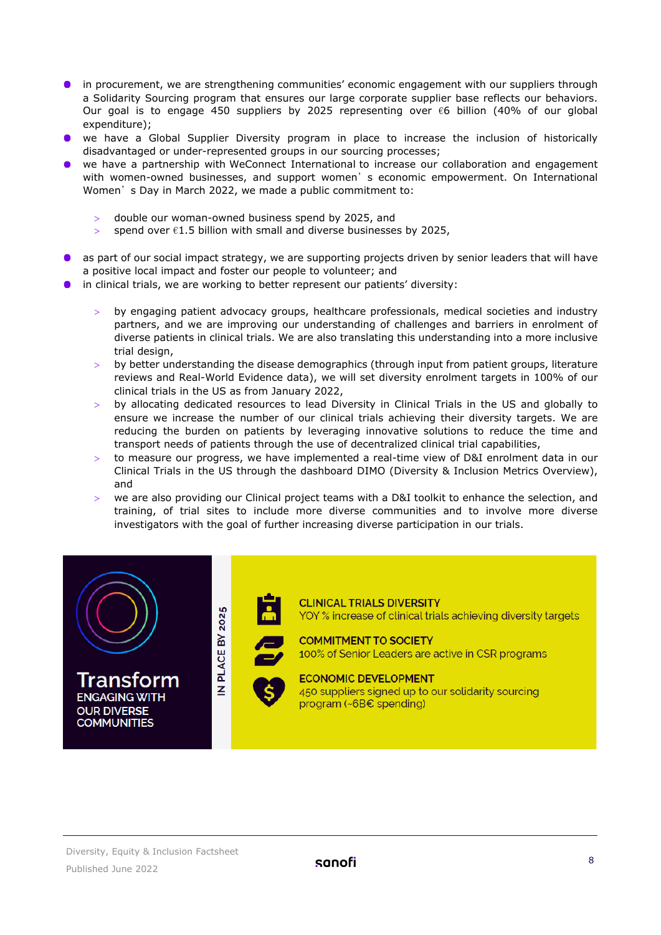- **•** in procurement, we are strengthening communities' economic engagement with our suppliers through a Solidarity Sourcing program that ensures our large corporate supplier base reflects our behaviors. Our goal is to engage 450 suppliers by 2025 representing over  $\epsilon$ 6 billion (40% of our global expenditure);
- **•** we have a Global Supplier Diversity program in place to increase the inclusion of historically disadvantaged or under-represented groups in our sourcing processes;
- we have a partnership with [WeConnect International](https://cp-s-prd.onesnf.com/en/our-responsibility/equality-and-inclusiveness/partners) to increase our collaboration and engagement with women-owned businesses, and support women's economic empowerment. On International Women's Day in March 2022, we made a public commitment to:
	- double our woman-owned business spend by 2025, and
	- $\ge$  spend over  $\epsilon$ 1.5 billion with small and diverse businesses by 2025,
- as part of our social impact strategy, we are supporting projects driven by senior leaders that will have a positive local impact and foster our people to volunteer; and
- in clinical trials, we are working to better represent our patients' diversity:
	- by engaging patient advocacy groups, healthcare professionals, medical societies and industry partners, and we are improving our understanding of challenges and barriers in enrolment of diverse patients in clinical trials. We are also translating this understanding into a more inclusive trial design,
	- by better understanding the disease demographics (through input from patient groups, literature reviews and Real-World Evidence data), we will set diversity enrolment targets in 100% of our clinical trials in the US as from January 2022,
	- by allocating dedicated resources to lead Diversity in Clinical Trials in the US and globally to ensure we increase the number of our clinical trials achieving their diversity targets. We are reducing the burden on patients by leveraging innovative solutions to reduce the time and transport needs of patients through the use of decentralized clinical trial capabilities,
	- to measure our progress, we have implemented a real-time view of D&I enrolment data in our Clinical Trials in the US through the dashboard DIMO (Diversity & Inclusion Metrics Overview), and
	- we are also providing our Clinical project teams with a D&I toolkit to enhance the selection, and training, of trial sites to include more diverse communities and to involve more diverse investigators with the goal of further increasing diverse participation in our trials.